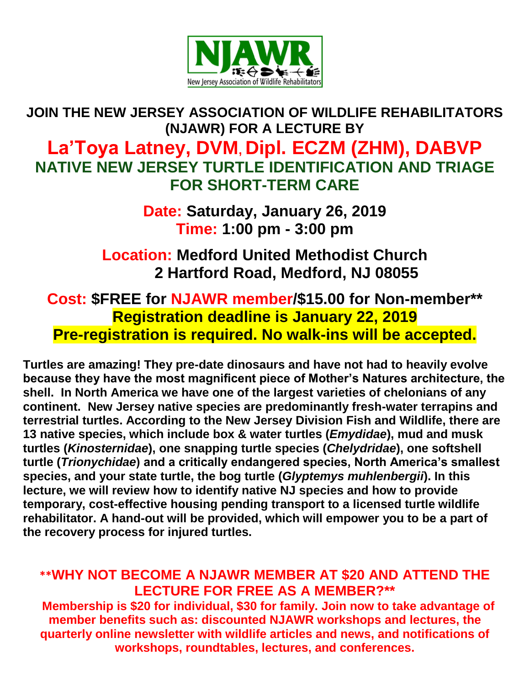

## **JOIN THE NEW JERSEY ASSOCIATION OF WILDLIFE REHABILITATORS (NJAWR) FOR A LECTURE BY La'Toya Latney, DVM, Dipl. ECZM (ZHM), DABVP NATIVE NEW JERSEY TURTLE IDENTIFICATION AND TRIAGE**

**Date: Saturday, January 26, 2019 Time: 1:00 pm - 3:00 pm**

**FOR SHORT-TERM CARE**

**Location: Medford United Methodist Church 2 Hartford Road, Medford, NJ 08055**

**Cost: \$FREE for NJAWR member/\$15.00 for Non-member\*\* Registration deadline is January 22, 2019 Pre-registration is required. No walk-ins will be accepted.**

**Turtles are amazing! They pre-date dinosaurs and have not had to heavily evolve because they have the most magnificent piece of Mother's Natures architecture, the shell. In North America we have one of the largest varieties of chelonians of any continent. New Jersey native species are predominantly fresh-water terrapins and terrestrial turtles. According to the New Jersey Division Fish and Wildlife, there are 13 native species, which include box & water turtles (***Emydidae***), mud and musk turtles (***Kinosternidae***), one snapping turtle species (***Chelydridae***), one softshell turtle (***Trionychidae***) and a critically endangered species, North America's smallest species, and your state turtle, the bog turtle (***Glyptemys muhlenbergii***). In this lecture, we will review how to identify native NJ species and how to provide temporary, cost-effective housing pending transport to a licensed turtle wildlife rehabilitator. A hand-out will be provided, which will empower you to be a part of the recovery process for injured turtles.**

## **\*\*WHY NOT BECOME A NJAWR MEMBER AT \$20 AND ATTEND THE LECTURE FOR FREE AS A MEMBER?\*\***

**Membership is \$20 for individual, \$30 for family. Join now to take advantage of member benefits such as: discounted NJAWR workshops and lectures, the quarterly online newsletter with wildlife articles and news, and notifications of workshops, roundtables, lectures, and conferences.**